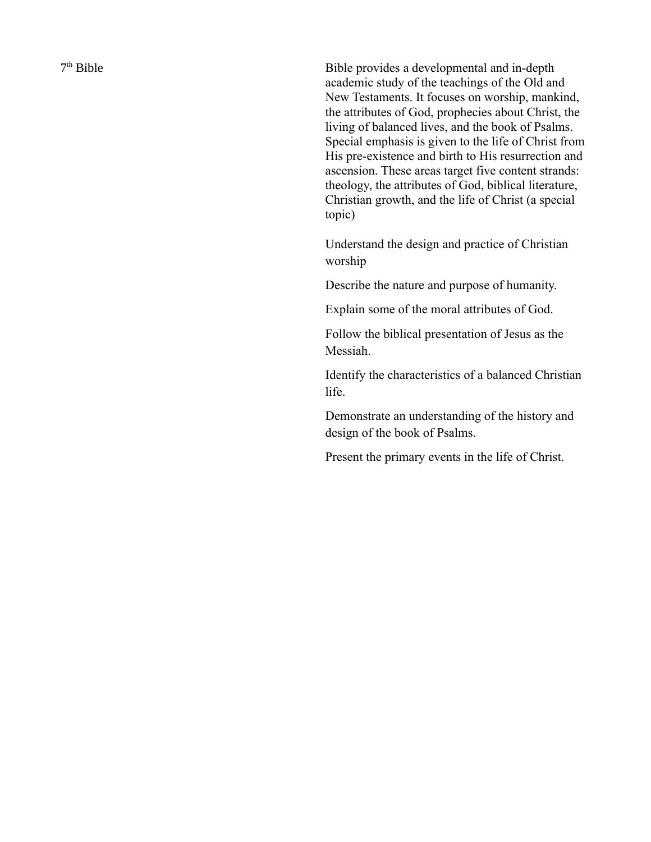7<sup>th</sup> Bible

Bible provides a developmental and in-depth academic study of the teachings of the Old and New Testaments. It focuses on worship, mankind, the attributes of God, prophecies about Christ, the living of balanced lives, and the book of Psalms. Special emphasis is given to the life of Christ from His pre-existence and birth to His resurrection and ascension. These areas target five content strands: theology, the attributes of God, biblical literature, Christian growth, and the life of Christ (a special topic)

Understand the design and practice of Christian worship

Describe the nature and purpose of humanity.

Explain some of the moral attributes of God.

Follow the biblical presentation of Jesus as the Messiah.

Identify the characteristics of a balanced Christian life.

Demonstrate an understanding of the history and design of the book of Psalms.

Present the primary events in the life of Christ.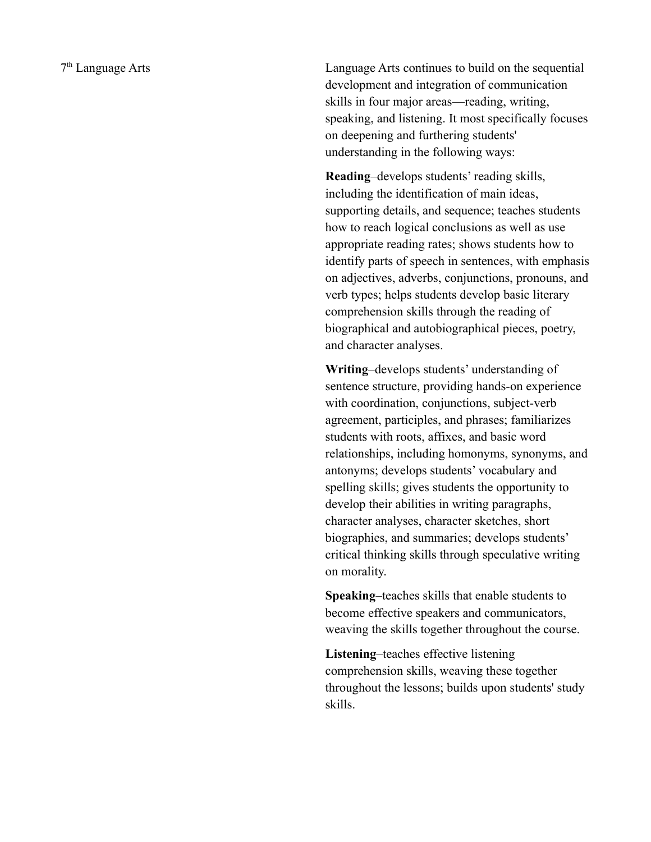Language Arts continues to build on the sequential development and integration of communication skills in four major areas—reading, writing, speaking, and listening. It most specifically focuses on deepening and furthering students' understanding in the following ways:

**Reading**–develops students' reading skills, including the identification of main ideas, supporting details, and sequence; teaches students how to reach logical conclusions as well as use appropriate reading rates; shows students how to identify parts of speech in sentences, with emphasis on adjectives, adverbs, conjunctions, pronouns, and verb types; helps students develop basic literary comprehension skills through the reading of biographical and autobiographical pieces, poetry, and character analyses.

**Writing**–develops students' understanding of sentence structure, providing hands-on experience with coordination, conjunctions, subject-verb agreement, participles, and phrases; familiarizes students with roots, affixes, and basic word relationships, including homonyms, synonyms, and antonyms; develops students' vocabulary and spelling skills; gives students the opportunity to develop their abilities in writing paragraphs, character analyses, character sketches, short biographies, and summaries; develops students' critical thinking skills through speculative writing on morality.

**Speaking**–teaches skills that enable students to become effective speakers and communicators, weaving the skills together throughout the course.

**Listening**–teaches effective listening comprehension skills, weaving these together throughout the lessons; builds upon students' study skills.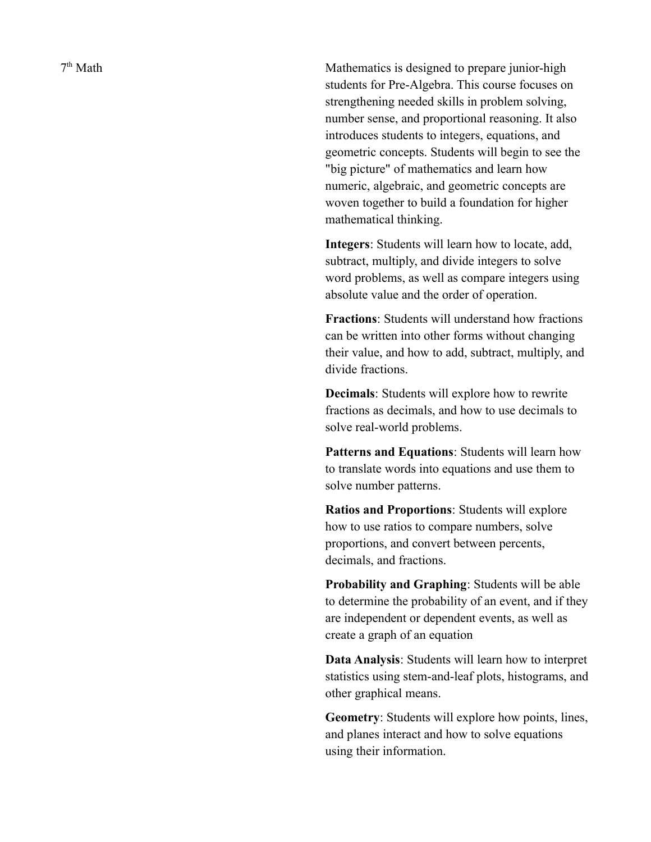7<sup>th</sup> Math

Mathematics is designed to prepare junior-high students for Pre-Algebra. This course focuses on strengthening needed skills in problem solving, number sense, and proportional reasoning. It also introduces students to integers, equations, and geometric concepts. Students will begin to see the "big picture" of mathematics and learn how numeric, algebraic, and geometric concepts are woven together to build a foundation for higher mathematical thinking.

**Integers**: Students will learn how to locate, add, subtract, multiply, and divide integers to solve word problems, as well as compare integers using absolute value and the order of operation.

**Fractions**: Students will understand how fractions can be written into other forms without changing their value, and how to add, subtract, multiply, and divide fractions.

**Decimals**: Students will explore how to rewrite fractions as decimals, and how to use decimals to solve real-world problems.

**Patterns and Equations**: Students will learn how to translate words into equations and use them to solve number patterns.

**Ratios and Proportions**: Students will explore how to use ratios to compare numbers, solve proportions, and convert between percents, decimals, and fractions.

**Probability and Graphing**: Students will be able to determine the probability of an event, and if they are independent or dependent events, as well as create a graph of an equation

**Data Analysis**: Students will learn how to interpret statistics using stem-and-leaf plots, histograms, and other graphical means.

**Geometry**: Students will explore how points, lines, and planes interact and how to solve equations using their information.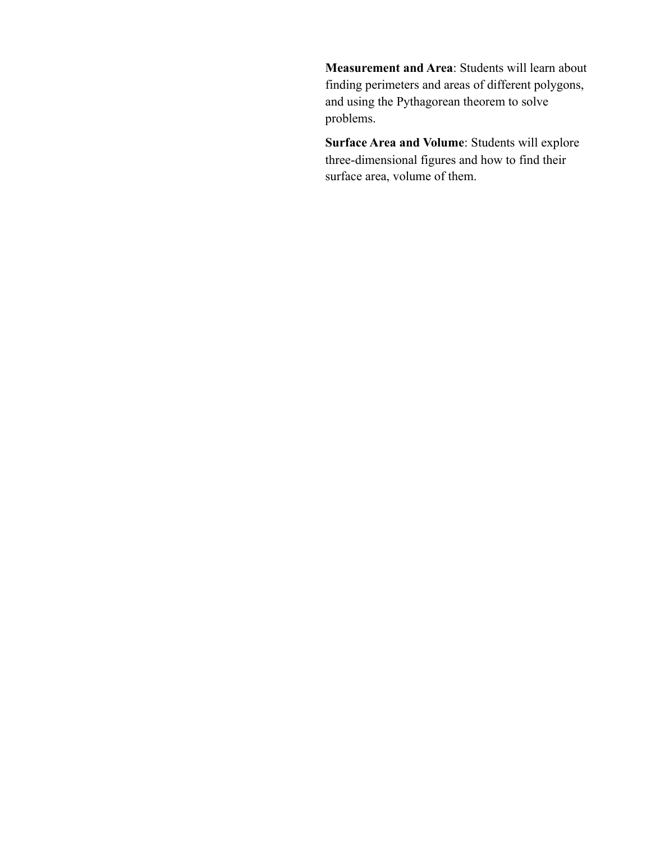**Measurement and Area**: Students will learn about finding perimeters and areas of different polygons, and using the Pythagorean theorem to solve problems.

**Surface Area and Volume**: Students will explore three-dimensional figures and how to find their surface area, volume of them.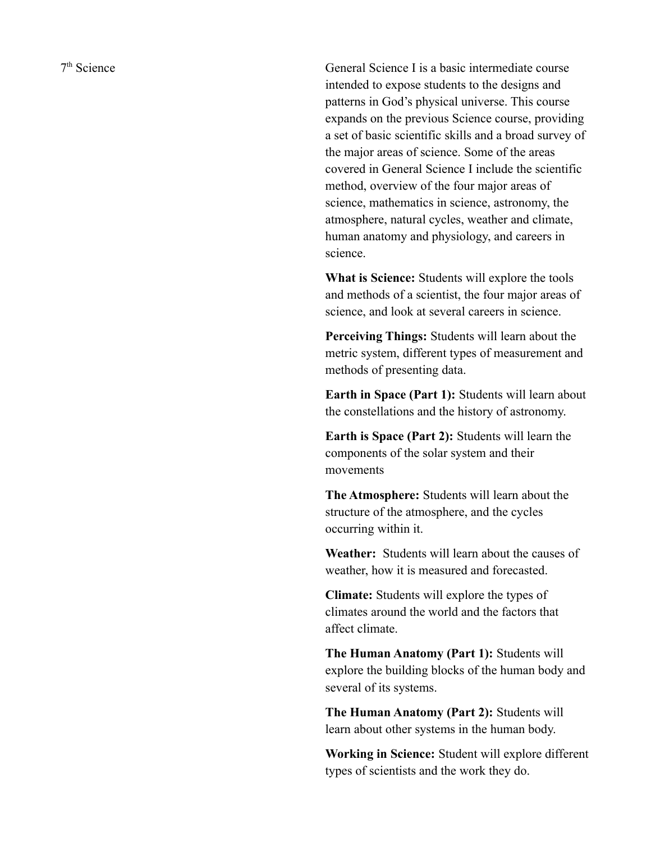7<sup>th</sup> Science

General Science I is a basic intermediate course intended to expose students to the designs and patterns in God's physical universe. This course expands on the previous Science course, providing a set of basic scientific skills and a broad survey of the major areas of science. Some of the areas covered in General Science I include the scientific method, overview of the four major areas of science, mathematics in science, astronomy, the atmosphere, natural cycles, weather and climate, human anatomy and physiology, and careers in science.

**What is Science:** Students will explore the tools and methods of a scientist, the four major areas of science, and look at several careers in science.

**Perceiving Things:** Students will learn about the metric system, different types of measurement and methods of presenting data.

**Earth in Space (Part 1):** Students will learn about the constellations and the history of astronomy.

**Earth is Space (Part 2):** Students will learn the components of the solar system and their movements

**The Atmosphere:** Students will learn about the structure of the atmosphere, and the cycles occurring within it.

**Weather:** Students will learn about the causes of weather, how it is measured and forecasted.

**Climate:** Students will explore the types of climates around the world and the factors that affect climate.

**The Human Anatomy (Part 1):** Students will explore the building blocks of the human body and several of its systems.

**The Human Anatomy (Part 2):** Students will learn about other systems in the human body.

**Working in Science:** Student will explore different types of scientists and the work they do.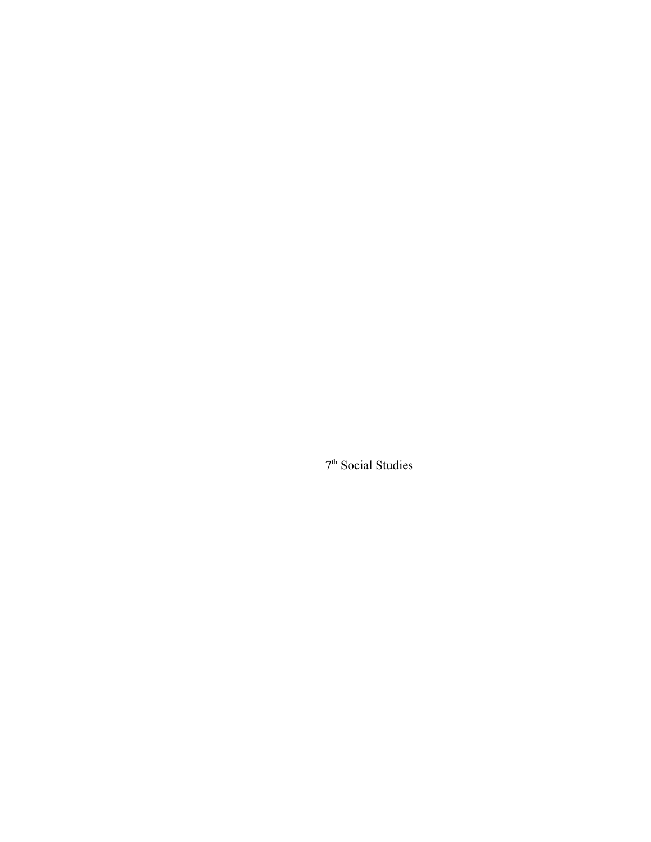th Social Studies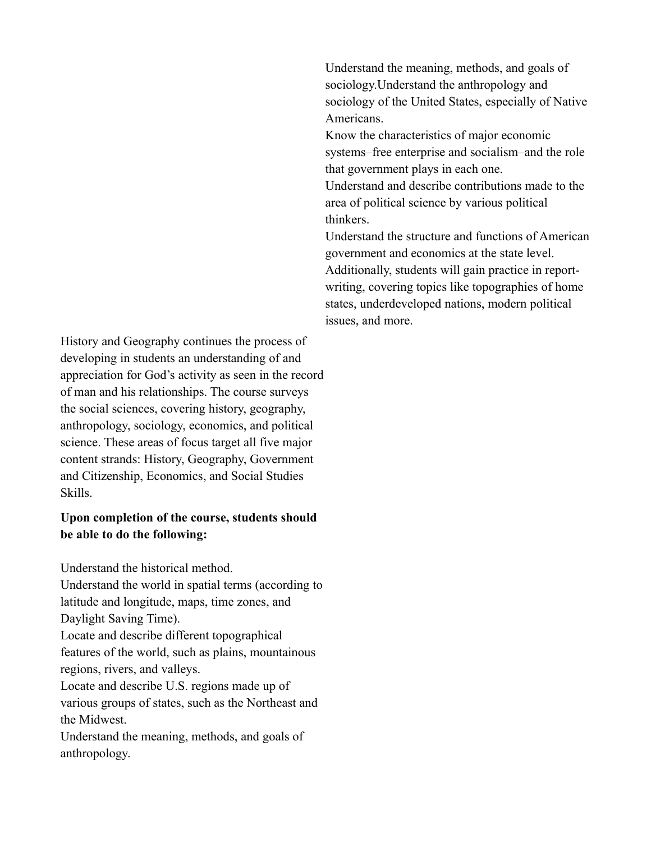History and Geography continues the process of developing in students an understanding of and appreciation for God's activity as seen in the record of man and his relationships. The course surveys the social sciences, covering history, geography, anthropology, sociology, economics, and political science. These areas of focus target all five major content strands: History, Geography, Government and Citizenship, Economics, and Social Studies Skills.

## **Upon completion of the course, students should be able to do the following:**

Understand the historical method.

Understand the world in spatial terms (according to latitude and longitude, maps, time zones, and Daylight Saving Time).

Locate and describe different topographical features of the world, such as plains, mountainous regions, rivers, and valleys.

Locate and describe U.S. regions made up of various groups of states, such as the Northeast and the Midwest.

Understand the meaning, methods, and goals of anthropology.

Understand the meaning, methods, and goals of sociology.Understand the anthropology and sociology of the United States, especially of Native Americans.

Know the characteristics of major economic systems–free enterprise and socialism–and the role that government plays in each one.

Understand and describe contributions made to the area of political science by various political thinkers.

Understand the structure and functions of American government and economics at the state level. Additionally, students will gain practice in reportwriting, covering topics like topographies of home states, underdeveloped nations, modern political issues, and more.